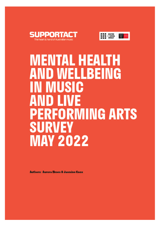



# **MENTAL HEALTH ND WELLBEING** IN MUSIC LIVE **PERFORMING ARTS SURVEY MAY 2022**

**Authors: Aurora Elmes & Jasmine Knox**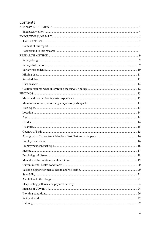| Contents |  |
|----------|--|
|          |  |
|          |  |
|          |  |
|          |  |
|          |  |
|          |  |
|          |  |
|          |  |
|          |  |
|          |  |
|          |  |
|          |  |
|          |  |
|          |  |
|          |  |
|          |  |
|          |  |
|          |  |
|          |  |
|          |  |
|          |  |
|          |  |
|          |  |
|          |  |
|          |  |
|          |  |
|          |  |
|          |  |
|          |  |
|          |  |
|          |  |
|          |  |
|          |  |
|          |  |
|          |  |
|          |  |
|          |  |
|          |  |
|          |  |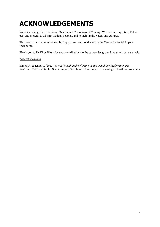# **ACKNOWLEDGEMENTS**

We acknowledge the Traditional Owners and Custodians of Country. We pay our respects to Elders past and present, to all First Nations Peoples, and to their lands, waters and cultures.

This research was commissioned by Support Act and conducted by the Centre for Social Impact Swinburne.

Thank you to Dr Kiros Hiruy for your contributions to the survey design, and input into data analysis.

#### *Suggested citation*

Elmes, A. & Knox, J. (2022). *Mental health and wellbeing in music and live performing arts Australia*: *2022*. Centre for Social Impact, Swinburne University of Technology: Hawthorn, Australia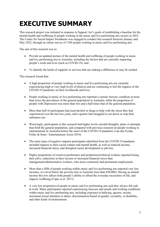# **EXECUTIVE SUMMARY**

This research project was initiated in response to Support Act's goals of establishing a baseline for the mental health and wellbeing of people working in the music and live performing arts sectors in 2022. The Centre for Social Impact Swinburne was engaged to conduct this research between January and May 2022, through an online survey of 1304 people working in music and live performing arts.

The aim of this research was to:

- Provide an updated picture of the mental health and wellbeing of people working in music and live performing arts in Australia, including the factors that are currently impacting people's work and lives (such as COVID-19); and
- To identify the kinds of supports or services that are making a difference or may be needed.

This research found that:

- A high proportion of people working in music and live performing arts are currently experiencing high or very high levels of distress and are continuing to feel the impacts of the COVID-19 pandemic on their livelihoods and lives.
- People working in music or live performing arts reported a current Anxiety condition at more than twice the prevalence of the general population in Australia, while the proportion of people with Depression was more than two and a half times that of the general population.
- More than half of participants had used alcohol or drugs to help with the stress they had experienced over the last two years, and a quarter had struggled to cut down or stop their substance use.
- Worryingly, participants in this research had higher levels suicidal thoughts, plans or attempts than both the general population, and compared with previous research on people working in entertainment in Australia before the onset of the COVID-19 pandemic (van den Eynde, Fisher & Sonn / Entertainment Assist 2016).
- The main types of negative impacts participants identified from the COVID-19 pandemic included impacts to their social contact and mental health, as well as reduced income, increased financial stress, and disrupted career development or job loss.
- Higher proportions of creatives/performers and production/technical workers reported losing their job/s, reductions in their income or increased financial stress than management/administrative workers, who more commonly had permanent employment.
- More than a fifth of people working within music and live performing arts reported very low incomes, at a level below the poverty-line in Australia (less than \$30,000). Having an annual income this low affects both people's ability to afford the everyday necessities of life, and impacts wellbeing (Capic et al. 2017).
- A very low proportion of people in music and live performing arts said they always felt safe at work. Many participants reported experiencing insecure and unsafe and working conditions within music and live performing arts, including exposure to bullying, ageism, racism, unwanted sexual attention or abuse, discrimination based on gender, sexuality, or disability, and other kinds of mistreatment.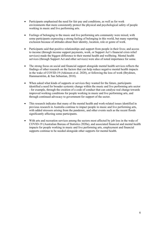- Participants emphasised the need for fair pay and conditions, as well as for work environments that more consistently protect the physical and psychological safety of people working in music and live performing arts.
- Feelings of belonging to the music and live performing arts community were mixed, with some participants expressing a strong feeling of belonging in this world, but many reporting exclusion because of attitudes about their identity, location, role or genre of work.
- Participants said that positive relationships and support from people in their lives; and access to income (through income support payments, work, or Support Act's financial crisis relief services) made the biggest difference to their mental health and wellbeing. Mental health services (through Support Act and other services) were also of noted importance for some.
- The strong focus on social and financial support alongside mental health services reflects the findings of other research on the factors that can help reduce negative mental health impacts in the wake of COVID-19 (Atkinson et al. 2020), or following the loss of work (Brydsten, Hammarström, & San Sebastian, 2018).
- When asked what kinds of supports or services they wanted for the future, participants identified a need for broader systemic change within the music and live performing arts sector - for example, through the creation of a code of conduct that can catalyse real change towards improved working conditions for people working in music and live performing arts, and through continued advocacy to government for support of the sector.
- This research indicates that many of the mental health and work-related issues identified in previous research in Australia continue to impact people in music and live performing arts, with added stressors arising from the pandemic, and other events such as the recent floods significantly affecting some participants.
- With arts and recreation services among the sectors most affected by job loss in the wake of COVID-19 (Australian Bureau of Statistics 2020a), and associated financial and mental health impacts for people working in music and live performing arts, employment and financial supports continue to be needed alongside other supports for mental health.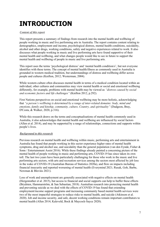# **INTRODUCTION**

#### *Content of this report*

This report presents a summary of findings from research into the mental health and wellbeing of people working in music and live performing arts in Australia. The report contains content relating to demographics, employment and income, psychological distress, mental health conditions, suicidality, alcohol and other drugs, working conditions, safety and negative experiences related to work. It also discusses what people working in music and live performing arts have found supportive of their mental health and wellbeing, and what changes people would like to see in future to support the mental health and wellbeing of people in music and live performing arts.

This report uses the terms 'psychological distress' and 'mental health condition/s', but not everyone identifies with these terms. The concept of mental health/illness as commonly used in Australia is grounded in western medical tradition, but understandings of distress and wellbeing differ across people and cultures (Knifton, 2012; Westerman, 2004).

While western culture often discusses mental health in terms of a medical condition located within an individual, other cultures and communities may view mental health or social and emotional wellbeing differently, for example, problems with mental health may be viewed as *"distress caused by social and economic factors and life challenges"* (Knifton 2012, p.292).

First Nations perspectives on social and emotional wellbeing may be more holistic, acknowledging that *"a person's wellbeing is determined by a range of inter-related domains: body, mind and emotions, family and kinship, community, culture, Country, and spirituality"* (Dudgeon, Bray, D'Costa, & Walker, 2020, p.316).

While this research draws on the terms and conceptualisations of mental health commonly used in Australia, it also acknowledges that mental health and wellbeing are influenced by social factors (Allen et al. 2014), and may be supported by a range of relationships, connections and supports within people's lives.

#### *Background to this research*

Previous research on mental health and wellbeing within music, performing arts and entertainment in Australia has found that people working in this sector experience higher rates of mental health symptoms, drug and alcohol use, and suicidality than the general population (van den Eynde, Fisher  $\&$ Sonn / Entertainment Assist 2016). While these findings already painted a concerning picture of the mental health of people working in music and performing arts, COVID-19 has since taken its own toll. The last two years have been particularly challenging for those who work in the music and live performing arts sectors, with arts and recreation services among the sectors most affected by job loss in the wake of COVID-19 (Australian Bureau of Statistics 2020a), and flow on impacts including financial insecurity and reported worsening of mental health (Everymind 2021; Rusak, Goh, Barbe, Newman & Blevins 2021).

Loss of work and unemployment are generally associated with negative effects on mental health (Hergenrather et al. 2015), but access to financial and social supports can help to buffer these effects (Brydsten, Hammarström, & San Sebastian, 2018). Australian research into protecting mental health and preventing suicide as we deal with the effects of COVID-19 has found that extending employment/income support programs and increasing community based mental health services were two of the most impactful strategies to reduce risks to mental health, and suicide (Atkinson et al. 2020). Job and income security, and safe, decent working conditions remain important contributors to mental health (Allen 2014; Kaleveld, Bock & Maycock-Sayce 2020).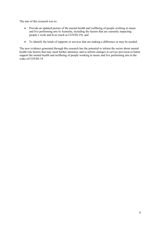The aim of this research was to:

- Provide an updated picture of the mental health and wellbeing of people working in music and live performing arts in Australia, including the factors that are currently impacting people's work and lives (such as COVID-19); and
- To identify the kinds of supports or services that are making a difference or may be needed.

The new evidence generated through this research has the potential to inform the sector about mental health risk factors that may need further attention, and to inform changes in service provision to better support the mental health and wellbeing of people working in music and live performing arts in the wake of COVID-19.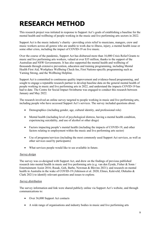# **RESEARCH METHOD**

This research project was initiated in response to Support Act's goals of establishing a baseline for the mental health and wellbeing of people working in the music and live performing arts sectors in 2022.

Support Act is the music industry's charity - providing crisis relief to musicians, mangers, crew and music workers across all genres who are unable to work due to illness, injury, a mental health issue or some other crisis, including the impact of COVID-19 on live music.

Over the course of the pandemic, Support Act has disbursed more than 16,000 Crisis Relief Grants to music and live performing arts workers, valued at over \$35 million, thanks to the support of the Australian and NSW Governments. It has also supported the mental health and wellbeing of thousands through extensive prevention, education and training programming, including Mental Health First Aid, Workplace Wellbeing Check-Ins, First Nations-specific programming such as Yarning Strong, and the Wellbeing Helpline.

Support Act is committed to continuous quality improvement and evidence-based programming, and sought to engage a reputable research partner to develop baseline data on the general mental health of people working in music and live performing arts in 2022, and understand the impacts COVID-19 has had to date. The Centre for Social Impact Swinburne was engaged to conduct this research between January and May 2022.

The research involved an online survey targeted to people working in music and live performing arts, including people who have accessed Support Act's services. The survey included questions about:

- Demographics (including gender, age, cultural identity, and professional role)
- Mental health (including level of psychological distress, having a mental health condition, experiencing suicidality, and use of alcohol or other drugs)
- Factors impacting people's mental health (including the impacts of COVID-19, and other factors relating to employment within the music and live performing arts sector)
- Use of programs/services (including the most commonly used Support Act services, as well as other services used by participants)
- What services people would like to see available in future.

#### *Survey design*

The survey was co-designed with Support Act, and drew on the findings of previous published research into mental health in music and live performing arts (e.g. van den Eynde, Fisher & Sonn / Entertainment Assist 2016; Rusak, Goh, Barbe, Newman & Blevins 2021); and research on mental health in Australia in the wake of COVID-19 (Atkinson et al. 2020; Elmes, Kaleveld, Olekalns & Clark 2021) to identify relevant questions and issues to explore.

#### *Survey distribution*

The survey information and link were shared publicly online via Support Act's website, and through communications to:

- Over 36,000 Support Act contacts
- A wide range of organisations and industry bodies in music and live performing arts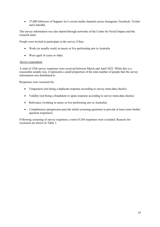• 37,000 followers of Support Act's social media channels across Instagram, Facebook, Twitter and LinkedIn.

The survey information was also shared through networks of the Centre for Social Impact and the research team.

People were invited to participate in the survey if they:

- Work (or usually work) in music or live performing arts in Australia
- Were aged 16 years or older.

#### *Survey respondents*

A total of 1568 survey responses were received between March and April 2022. While this is a reasonable sample size, it represents a small proportion of the total number of people that the survey information was distributed to.

Responses were screened for:

- Uniqueness (not being a duplicate response according to survey meta-data checks)
- Validity (not being a fraudulent or spam response according to survey meta-data checks)
- Relevance (working in music or live performing arts in Australia)
- Completeness (progression past the initial screening questions to provide at least some further question responses).

Following screening of survey responses, a total of 264 responses were excluded. Reasons for exclusion are shown in Table 1.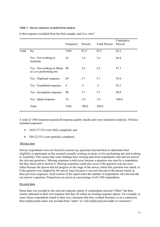#### *Table 1 - Survey responses excluded from analysis*

|       |                                                          | Frequency | Percent   | Valid Percent | Cumulative<br>Percent |
|-------|----------------------------------------------------------|-----------|-----------|---------------|-----------------------|
| Valid | N <sub>o</sub>                                           | 1304      | 83.2      | 83.2          | 83.2                  |
|       | Yes - Not working in<br>Australia                        | 25        | 1.6       | 1.6           | 84.8                  |
|       | Yes - Not working in Music 40<br>or Live performing arts |           | 2.6       | 2.6           | 87.3                  |
|       | Yes - Duplicate response                                 | 89        | 5.7       | 5.7           | 93.0                  |
|       | Yes - Fraudulent response                                | 4         | $\cdot$ 3 | $\cdot$ 3     | 93.2                  |
|       | Yes - Incomplete response                                | 90        | 5.7       | 5.7           | 99.0                  |
|       | Yes - Spam response                                      | 16        | 1.0       | 1.0           | 100.0                 |
|       | Total                                                    | 1568      | 100.0     | 100.0         |                       |

Is this response excluded from the final sample, and if so, why?

A total of 1304 responses passed all response quality checks and were included in analysis. Of these included responses:

- 1010 (77.5%) were fully completed, and
- 294 (22.5%) were partially completed.

#### *Missing data*

Survey respondents were not forced to answer any questions beyond those to determine their eligibility to participate in this research (usually working in music or live performing arts and working in Australia). This means that some findings have missing data from respondents who did not answer the relevant question/s. Missing responses could occur because a question was seen by a respondent, but they chose not to answer it. Missing responses could also occur if the question was not seen – either because the person did not progress to the stage of the survey where this question was asked, or if the question was skipped by the survey logic because it was not relevant to the person based on their previous responses. Each section of the report notes the number of respondents who did and did not answer a question. Proportions are given as a percentage of all 1304 respondents.

#### *Recoded data*

Some data was recoded to the relevant response option if a participant selected "Other" but then clearly indicated in their text response that they fit within an existing response option. For example, in cases where respondents stated in their text comments that they worked freelance or as a contractor, their employment status was recoded from "other" to "self-employed/sole-trader or contractor".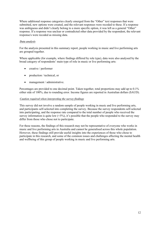Where additional response categories clearly emerged from the "Other" text responses that were submitted, new options were created, and the relevant responses were recoded to these. If a response was ambiguous and didn't clearly belong to a more specific option, it was left as a general "Other" response. If a response was unclear or contradicted other data provided by the respondent, the relevant response/s were recoded as missing data.

#### *Data analysis*

For the analysis presented in this summary report, people working in music and live performing arts are grouped together.

Where applicable (for example, where findings differed by role type), data were also analysed by the broad category of respondents' main type of role in music or live performing arts:

- creative / performer
- production / technical, or
- management / administrative.

Percentages are provided to one decimal point. Taken together, total proportions may add up to 0.1% either side of 100%, due to rounding error. Income figures are reported in Australian dollars (\$AUD).

#### *Caution required when interpreting the survey findings*

This survey did not involve a random sample of people working in music and live performing arts, and participants self-selected into completing the survey. Because the survey respondents self-selected into participating, and the response rate compared to the total number of people who received the survey information is quite low (<5%), it's possible that the people who responded to the survey may differ from those who chose not to participate.

For these reasons, the findings of this research may not be representative of everyone who works in music and live performing arts in Australia and cannot be generalised across this whole population. However, these findings still provide useful insights into the experiences of those who chose to participate in this research, and some of the common issues and challenges affecting the mental health and wellbeing of this group of people working in music and live performing arts.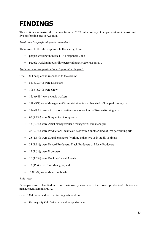## **FINDINGS**

This section summarises the findings from our 2022 online survey of people working in music and live performing arts in Australia.

*Music and live performing arts respondents*

There were 1304 valid responses to the survey, from:

- people working in music (1044 responses), and
- people working in other live performing arts (260 responses).

#### *Main music or live performing arts jobs of participants*

Of all 1304 people who responded to the survey:

- 513 (39.3%) were Musicians
- 198 (15.2%) were Crew
- $\bullet$  125 (9.6%) were Music workers
- 118 (9%) were Management/Administrators in another kind of live performing arts
- 114 (8.7%) were Artists or Creatives in another kind of live performing arts.
- 63 (4.8%) were Songwriters/Composers
- 43 (3.3%) were Artist managers/Band managers/Music managers
- 28 (2.1%) were Production/Technical Crew within another kind of live performing arts
- 25 (1.9%) were Sound engineers (working either live or in studio settings)
- 23 (1.8%) were Record Producers, Track Producers or Music Producers
- 19  $(1.5\%)$  were Promoters
- 16 (1.2%) were Booking/Talent Agents
- 13 (1%) were Tour Managers, and
- $6(0.5\%)$  were Music Publicists

#### *Role types*

Participants were classified into three main role types – creative/performer, production/technical and management/administrative.

Of all 1304 music and live performing arts workers:

• the majority  $(54.7%)$  were creatives/performers.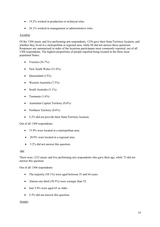- 19.2% worked in production or technical roles.
- 26.1% worked in management or administrative roles.

#### *Location*

Of the 1304 music and live performing arts respondents, 1236 gave their State/Territory location, and whether they lived in a metropolitan or regional area, while 68 did not answer these questions. Responses are summarised in order of the locations participants most commonly reported, out of all 1304 respondents. The highest proportions of people reported being located in the three most populated States.

- Victoria  $(36.7\%)$
- New South Wales (31.6%)
- Oueensland  $(13%)$
- Western Australia (7.3%)
- South Australia (3.1%)
- Tasmania  $(1.6\%)$
- Australian Capital Territory (0.8%)
- Northern Territory (0.6%)
- 5.2% did not provide their State/Territory location.

#### Out of all 1304 respondents:

- 73.9% were located in a metropolitan area.
- 20.9% were located in a regional area.
- 5.2% did not answer this question.

#### *Age*

There were 1232 music and live performing arts respondents who gave their age, while 72 did not answer this question.

Out of all 1304 respondents:

- The majority (58.1%) were aged between 35 and 64 years.
- Almost one third (30.5%) were younger than 35.
- Just 5.8% were aged 65 or older.
- 5.5% did not answer this question.

#### *Gender*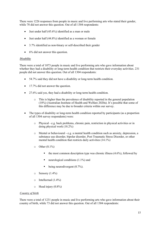There were 1226 responses from people in music and live performing arts who stated their gender, while 78 did not answer this question. Out of all 1304 respondents:

- Just under half  $(45.6\%)$  identified as a man or male
- Just under half (44.8%) identified as a woman or female
- 3.7% identified as non-binary or self-described their gender
- 6% did not answer this question.

#### *Disability*

There were a total of 1073 people in music and live performing arts who gave information about whether they had a disability or long-term health condition that restricts their everyday activities. 231 people did not answer this question. Out of all 1304 respondents:

- 54.7% said they did not have a disability or long-term health condition.
- 17.7% did not answer the question.
- 27.6% said yes, they had a disability or long-term health condition.
	- o This is higher than the prevalence of disability reported in the general population (18%) (Australian Institute of Health and Welfare 2020a). It's possible that some of this difference may be due to broader criteria within our survey.
- The types of disability or long-term health condition reported by participants (as a proportion of all 1304 survey respondents) were:
	- o Physical e.g. back problems, chronic pain, restriction in physical activities or in doing physical work (18.2%)
	- o Mental or behavioural e.g. a mental health condition such as anxiety, depression, a substance use disorder, bipolar disorder, Post Traumatic Stress Disorder, or other mental health condition that restricts daily activities (14.1%)
	- $\circ$  Other  $(8.1\%)$ 
		- $\bullet$  the most common description type was chronic illness (4.6%), followed by
		- **•** neurological conditions  $(1.1\%)$  and
		- being neurodivergent  $(0.7\%)$ .
	- $\circ$  Sensory (1.4%)
	- o Intellectual (1.4%)
	- o Head injury (0.8%)

#### *Country of birth*

There were a total of 1231 people in music and live performing arts who gave information about their country of birth, while 73 did not answer this question. Out of all 1304 respondents: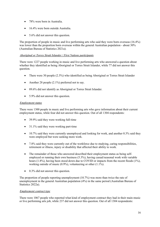- 78% were born in Australia.
- 16.4% were born outside Australia.
- 5.6% did not answer this question.

The proportion of people in music and live performing arts who said they were born overseas (16.4%) was lower than the proportion born overseas within the general Australian population - about 30% (Australian Bureau of Statistics 2021a).

#### *Aboriginal or Torres Strait Islander / First Nations participants*

There were 1227 people working in music and live performing arts who answered a question about whether they identified as being Aboriginal or Torres Strait Islander, while 77 did not answer this question.

- There were 30 people (2.3%) who identified as being Aboriginal or Torres Strait Islander
- Another 28 people (2.1%) preferred not to say.
- 89.6% did not identify as Aboriginal or Torres Strait Islander.
- 5.9% did not answer this question.

#### *Employment status*

There were 1300 people in music and live performing arts who gave information about their current employment status, while four did not answer this question. Out of all 1304 respondents:

- 39.9% said they were working full-time
- 31.1% said they were working part-time
- 10.7% said they were currently unemployed and looking for work, and another 0.3% said they were employed but were seeking more work.
- 7.8% said they were currently out of the workforce due to studying, caring responsibilities, retirement or illness, injury or disability that affected their ability to work.
- The remainder of those who answered described their employment status as being selfemployed or running their own business (5.3%), having casual/seasonal work with variable hours (1.8%), having been stood down due to COVID or impacts from the recent floods (1%), working outside of music  $(0.9\%)$ , volunteering or other  $(1.1\%)$ .
- 0.3% did not answer this question.

The proportion of people reporting unemployment (10.7%) was more than twice the rate of unemployment in the general Australian population (4%) in the same period (Australian Bureau of Statistics 2022a).

#### *Employment contract type*

There were 1067 people who reported what kind of employment contract they had in their main music or live performing arts job, while 237 did not answer this question. Out of all 1304 respondents: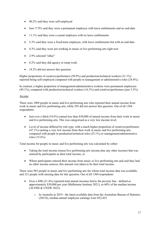- 40.2% said they were self-employed
- Just 17.9% said they were a permanent employee with leave entitlements and no end-date
- 11.1% said they were a casual employee with no leave entitlements
- 5.3% said they were a fixed-term employee, with leave entitlements but with an end-date.
- 4.3% said they were not working in music or live performing arts right now
- $\bullet$  2.9% selected "other"
- 0.2% said they did agency or temp work.
- 18.2% did not answer this question.

Higher proportions of creatives/performers (50.9%) and production/technical workers (31.1%) reported being self-employed compared with people in management or administrative roles (24.4%).

In contrast, a higher proportion of management/administrative workers were permanent employees (49.1%), compared with production/technical workers (16.3%) and creatives/performers (just 3.5%).

#### *Income*

There were 1009 people in music and live performing arts who reported their annual income from work in music and live performing arts, while 295 did not answer this question. Out of all 1304 respondents:

- Just over a third  $(34.6\%)$  earned less than \$30,000 of annual income from their work in music and live performing arts. This was categorised as a very low income level.
- Level of income differed by role type, with a much higher proportion of creatives/performers (47.1%) earning a very low income from their work in music and live performing arts, compared with people in production/technical roles (25.1%) or management/administrative roles (15.6%).

Total income for people in music and live performing arts was calculated by either:

- Taking the total income (music/live performing arts income plus any other income) that was entered by participants as their total income, or
- Where participants entered their income from music or live performing arts and said they had no other income sources, this amount was taken to be their total income.

There were 983 people in music and live performing arts for whom total income data was available, and 321 people with missing data for this question. Out of all 1304 respondents

- Over a fifth (21.4%) reported total annual incomes below the poverty line defined as approximately \$30,000 per year (Melbourne Institute 2021), or 60% of the median income (ACOSS & UNSW 2022).
	- o In Australia in 2019 the latest available data from the Australian Bureau of Statistics (2021b), median annual employee earnings were \$52,425.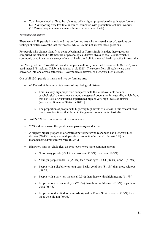• Total income level differed by role type, with a higher proportion of creatives/performers (27.2%) reporting very low total incomes, compared with production/technical workers (16.7%) or people in management/administrative roles (12.4%).

#### *Psychological distress*

There were 1178 people in music and live performing arts who answered a set of questions on feelings of distress over the last four weeks, while 126 did not answer these questions.

For people who did not identify as being Aboriginal or Torres Strait Islander, these questions comprised the standard K10 measure of psychological distress (Kessler et al. 2003), which is commonly used in national surveys of mental health, and clinical mental health practice in Australia.

For Aboriginal and Torres Strait Islander People, a culturally modified Kessler scale (MK-K5) was used instead (Brinckley, Calabria & Walker et al. 2021). The scores from all scales were then converted into one of two categories – low/moderate distress, or high/very high distress.

Out of all 1304 people in music and live performing arts:

- 66.1% had high or very high levels of psychological distress.
	- o This is a very high proportion compared with the latest available data on psychological distress levels among the general population in Australia, which found that just 15% of Australians experienced high or very high levels of distress (Australian Bureau of Statistics 2021c).
	- o The proportion of people with high/very high levels of distress in this research was more than four times that found in the general population in Australia.
- Just 24.2% had low or moderate distress levels.
- 9.7% did not answer the questions on psychological distress.
- A slightly higher proportion of creatives/performers who responded had high/very high distress (69.4%), compared with people in production/technical roles (64.1%) or management/administrative roles (60.6%).
- High/very high psychological distress levels were more common among:
	- $\circ$  Non-binary people (83.3%) and women (72.3%) than men (66.3%)
	- $\circ$  Younger people under 35 (75.4%) than those aged 35-64 (68.3%) or 65+ (57.9%)
	- $\circ$  People with a disability or long-term health condition (81.1%) than those without  $(68.7\%)$
	- o People with a very low income (80.9%) than those with a high income (61.9%)
	- $\circ$  People who were unemployed (76.8%) than those in full-time (63.5%) or part-time work (66.4%)
	- o People who identified as being Aboriginal or Torres Strait Islander (73.3%) than those who did not (69.5%)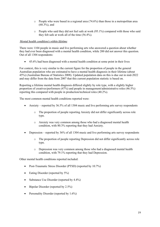- $\circ$  People who were based in a regional area (74.6%) than those in a metropolitan area (68.3%), and
- o People who said they did not feel safe at work (95.1%) compared with those who said they felt safe at work all of the time (56.4%).

#### *Mental health condition/s within lifetime*

There were 1104 people in music and live performing arts who answered a question about whether they had ever been diagnosed with a mental health condition, while 200 did not answer this question. Out of all 1304 respondents:

• 45.6% had been diagnosed with a mental health condition at some point in their lives

For context, this is very similar to the current figure for the proportion of people in the general Australian population who are estimated to have a mental health diagnosis in their lifetime (about 45%) (Australian Bureau of Statistics 2008). Updated population data on this is due out in mid-2022 and may differ from the data from 2007 that this current population statistic is based on.

Reporting a lifetime mental health diagnosis differed slightly by role type, with a slightly higher proportion of creatives/performers (47%) and people in management/administrative roles (46.5%) reporting this compared with people in production/technical roles (40.2%).

The most common mental health conditions reported were:

- Anxiety reported by 36.5% of all 1304 music and live performing arts survey respondents
	- o The proportion of people reporting Anxiety did not differ significantly across role type.
	- o Anxiety was very common among those who had a diagnosed mental health condition, with 80.3% reporting that they had Anxiety.
- Depression reported by 36% of all 1304 music and live performing arts survey respondents
	- o The proportion of people reporting Depression did not differ significantly across role type.
	- o Depression was very common among those who had a diagnosed mental health condition, with 79.1% reporting that they had Depression.

Other mental health conditions reported included:

- Post-Traumatic Stress Disorder (PTSD) (reported by 10.7%)
- Eating Disorder (reported by 5%)
- Substance Use Disorder (reported by 4.4%)
- Bipolar Disorder (reported by 2.5%)
- Personality Disorder (reported by 1.6%)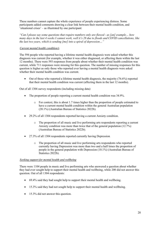These numbers cannot capture the whole experience of people experiencing distress. Some participants added comments drawing a clear link between their mental health condition, and 'situational crises' – as illustrated by one participant:

*"Can I please say some questions that require numbers only are flawed - as [an] example… how many days in the last 4 weeks I cannot work, well it's 28 due to floods and COVID cancellations, like the last two years, which is sending [me] into a spiral of depression…"*

#### *Current mental health condition/s*

The 594 people who reported having a lifetime mental health diagnosis were asked whether this diagnosis was current (for example, whether it was either diagnosed, or affecting them within the last 12 months). There were 593 responses from people about whether their mental health condition was current, while 711 responses were missing for this question. The number of missing responses for this question is higher as only those who reported ever having a mental health diagnosis were asked whether their mental health condition was current.

• Out of those who reported a lifetime mental health diagnosis, the majority  $(76.6\%)$  reported that their mental health condition was current (affecting them in the last 12 months).

Out of all 1304 survey respondents (including missing data)

- The proportion of people reporting a current mental health condition was 34.9%.
	- o For context, this is about 1.7 times higher than the proportion of people estimated to have a current mental health condition within the general Australian population (20.1%) (Australian Bureau of Statistics 2022b).
- 29.2% of all 1304 respondents reported having a current Anxiety condition.
	- o The proportion of all music and live performing arts respondents reporting a current Anxiety condition was more than twice that of the general population (12.7%) (Australian Bureau of Statistics 2022b).
- 27.3% of all 1304 respondents reported currently having Depression
	- o The proportion of all music and live performing arts respondents who reported currently having Depression was more than two and a half times the proportion of people in the general population with Depression (10.1%) (Australian Bureau of Statistics 2022b).

#### *Seeking support for mental health and wellbeing*

There were 1104 people in music and live performing arts who answered a question about whether they had ever sought help to support their mental health and wellbeing, while 200 did not answer this question. Out of all 1304 respondents:

- 69.4% said they had sought help to support their mental health and wellbeing.
- 15.3% said they had not sought help to support their mental health and wellbeing.
- 15.3% did not answer this question.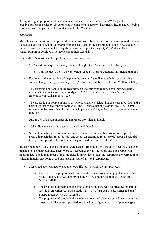A slightly higher proportion of people in management/administrative roles (76.5%) and creative/performing roles (67.3%) reported seeking help to support their mental health and wellbeing compared with people in production/technical roles (65.7%).

#### *Suicidality*

Much higher proportions of people working in music and other live performing arts reported suicidal thoughts, plans and attempts compared with the statistics for the general population in Australia. Of those who reported any suicidal thoughts, plans or attempts, the majority (70.4%) said they had sought support or confided in someone about their suicidality.

Out of all 1304 music and live performing arts respondents:

- 58.6% had ever experienced any suicidal thoughts (39.3% within the last two years)
	- o This includes 39.6% who answered yes to all of three questions on suicidal thoughts.
- For context, the proportion of people in the general Australian population experiencing suicidal thoughts is approximately 13% (Australian Institute of Health and Welfare, 2020b).
- The proportion of people in the entertainment industry who reported ever having suicidal thoughts in an earlier Australian study was 28.9% (van den Eynde, Fisher & Sonn / Entertainment Assist 2016, p.153).
- The proportion of people in this study who having any suicidal thoughts was about four and a half times that of the general population, and 1.3 times that of previous (pre-COVID-19) research on the rates of suicidal thoughts in people working in the Australian entertainment industry.
- Just 25.3% of all respondents did not report any suicidal thoughts
- 16.1% did not answer the questions on suicidal thoughts.
- Suicidal thoughts were common across all role types, but a higher proportion of people in production/technical roles (63.7%) and creative/performing roles (60.9%) reported suicidal thoughts compared with people in management/administrative roles (50%).

Those who reported any suicidal thoughts were asked further questions about whether they had ever planned to take their own life. There were 759 responses for this question, and 545 people with missing data. The high number of missing cases is partly due to those not reporting any current or past suicidal thoughts not being asked this question. Out of all 1304 respondents:

- 20.1% had ever planned to take their own life (8.7% within the last two years)
	- o For context, the proportion of people in the general Australian population who had made a suicide plan was approximately 4% (Australian Institute of Health and Welfare, 2020b).
	- o The proportion of people in the entertainment industry who reported ever planning suicide in an earlier Australian study was 17.4% (van den Eynde, Fisher & Sonn / Entertainment Assist 2016, p.158).
	- o The proportion of people in this study who reported planning suicide was about five times that of the general population, and slightly higher than that of previous (pre-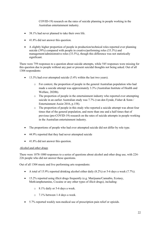COVID-19) research on the rates of suicide planning in people working in the Australian entertainment industry.

- 38.1% had never planned to take their own life.
- 41.8% did not answer this question.
- A slightly higher proportion of people in production/technical roles reported ever planning suicide (39%) compared with people in creative/performing roles (33.3%) and management/administrative roles (33.5%), though this difference was not statistically significant.

There were 759 responses to a question about suicide attempts, while 545 responses were missing for this question due to people without any past or present suicidal thoughts not being asked. Out of all 1304 respondents:

- 13.3% had ever attempted suicide (3.4% within the last two years).
	- o For context, the proportion of people in the general Australian population who had made a suicide attempt was approximately 3.3% (Australian Institute of Health and Welfare, 2020b).
	- o The proportion of people in the entertainment industry who reported ever attempting suicide in an earlier Australian study was 7.7% (van den Eynde, Fisher & Sonn / Entertainment Assist 2016, p.158).
	- o The proportion of people in this study who reported a suicide attempt was about four times that of the general population, and more than one and a half times that of previous (pre-COVID-19) research on the rates of suicide attempts in people working in the Australian entertainment industry.
- The proportions of people who had ever attempted suicide did not differ by role type.
- 44.9% reported that they had never attempted suicide
- 41.8% did not answer this question.

#### *Alcohol and other drugs*

There were 1078-1080 responses to a series of questions about alcohol and other drug use, with 224- 226 people who did not answer these questions.

Out of all 1304 music and live performing arts respondents:

- A total of 15.9% reported drinking alcohol either daily (8.2%) or 5-6 days a week (7.7%).
- 15.2% reported using illicit drugs frequently (e.g. Marijuana/Cannabis, Ecstasy, Meth/amphetamine, Cocaine or any other types of illicit drugs), including:
	- o 8.1% daily or 5-6 days a week.
	- o 7.1% between 1-4 days a week.
- 5.7% reported weekly non-medical use of prescription pain relief or opioids.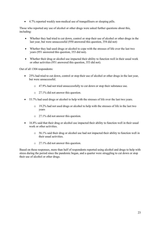• 4.7% reported weekly non-medical use of tranquillisers or sleeping pills.

Those who reported any use of alcohol or other drugs were asked further questions about this, including:

- Whether they had tried to cut down, control or stop their use of alcohol or other drugs in the last year, but were unsuccessful (950 answered this question, 354 did not)
- Whether they had used drugs or alcohol to cope with the stresses of life over the last two years (951 answered this question, 353 did not).
- Whether their drug or alcohol use impacted their ability to function well in their usual work or other activities (951 answered this question, 353 did not).

Out of all 1304 respondents:

- 25% had tried to cut down, control or stop their use of alcohol or other drugs in the last year, but were unsuccessful.
	- o 47.9% had not tried unsuccessfully to cut down or stop their substance use.
	- o 27.1% did not answer this question.
- 53.7% had used drugs or alcohol to help with the stresses of life over the last two years.
	- o 19.2% had not used drugs or alcohol to help with the stresses of life in the last two years
	- o 27.1% did not answer this question.
- 16.8% said that their drug or alcohol use impacted their ability to function well in their usual work or other activities.
	- $\circ$  56.1% said their drug or alcohol use had not impacted their ability to function well in their usual activities.
	- o 27.1% did not answer this question.

Based on these responses, more than half of respondents reported using alcohol and drugs to help with stress during the period since the pandemic began, and a quarter were struggling to cut down or stop their use of alcohol or other drugs.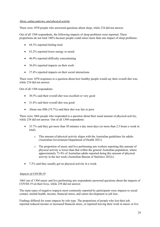#### *Sleep, eating patterns, and physical activity*

There were 1070 people who answered questions about sleep, while 234 did not answer.

Out of all 1304 respondents, the following impacts of sleep problems were reported. These proportions do not total 100% because people could select more than one impact of sleep problems:

- 64.3% reported feeling tired
- 63.2% reported lower energy or mood
- 46.9% reported difficulty concentrating
- 36.6% reported impacts on their work
- 37.4% reported impacts on their social interactions

There were 1070 responses to a question about how healthy people would say their overall diet was, while 234 did not answer.

Out of all 1304 respondents:

- 30.5% said their overall diet was excellent or very good
- 31.8% said their overall diet was good
- About one fifth (19.7%) said their diet was fair or poor.

There were 1066 people who responded to a question about their usual amount of physical activity, while 238 did not answer. Out of all 1304 respondents:

- 33.7% said they got more than 30 minutes a day most days (or more than 2.5 hours a week in total).
	- o This amount of physical activity aligns with the Australian guidelines for adults (Australian Government Department of Health 2021).
	- o The proportion of music and live performing arts workers reporting this amount of physical activity is lower than that within the general Australian population, where approximately 73.4% of Australian adults reported doing this amount of physical activity in the last week (Australian Bureau of Statistics 2022c).
- 7.2% said they usually got no physical activity in a week.

#### *Impacts of COVID-19*

1065 out of 1304 music and live performing arts respondents answered questions about the impacts of COVID-19 on their lives, while 239 did not answer.

The main types of negative impacts most commonly reported by participants were impacts to social contact, mental health, income, financial stress, and career development or job loss.

Findings differed for some impacts by role type. The proportions of people who lost their job, reported reduced income or increased financial stress, or reported leaving their work in music or live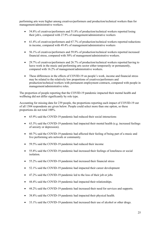performing arts were higher among creatives/performers and production/technical workers than for management/administrative workers.

- 54.8% of creatives/performers and 51.8% of production/technical workers reported losing their job/s, compared with 27.9% of management/administrative workers
- 61.4% of creatives/performers and 67.7% of production/technical workers reported reductions in income, compared with 49.4% of management/administrative workers
- 56.1% of creatives/performers and 59.8% of production/technical workers reported increased financial stress, compared with 50% of management/administrative workers.
- 29.7% of creatives/performers and 26.7% of production/technical workers reported having to leave work in the music and performing arts sector either temporarily or permanently, compared with 16.2% of management/administrative workers.
- These differences in the effects of COVID-19 on people's work, income and financial stress may be related to the relatively low proportions of creatives/performers and production/technical workers with permanent employment contracts, compared with people in management/administrative roles.

The proportion of people reporting that the COVID-19 pandemic impacted their mental health and wellbeing did not differ significantly by role type.

Accounting for missing data for 239 people, the proportions reporting each impact of COVID-19 out of all 1304 respondents are given below. People could select more than one option, so these proportions do not total 100%.

- 65.9% said the COVID-19 pandemic had reduced their social interactions
- 63.3% said the COVID-19 pandemic had impacted their mental health (e.g. increased feelings of anxiety or depression).
- 60.7% said the COVID-19 pandemic had affected their feeling of being part of a music and live performing arts network or community.
- 59.5% said the COVID-19 pandemic had reduced their income
- 55.8% said the COVID-19 pandemic had increased their feelings of loneliness or social isolation.
- 55.2% said the COVID-19 pandemic had increased their financial stress
- 52.1% said the COVID-19 pandemic had impacted their career development
- 47.2% said the COVID-19 pandemic led to the loss of their job or jobs
- 44.4% said the COVID-19 pandemic had impacted their relationships.
- 44.2% said the COVID-19 pandemic had increased their need for services and supports.
- 38.8% said the COVID-19 pandemic had impacted their physical health.
- 33.1% said the COVID-19 pandemic had increased their use of alcohol or other drugs.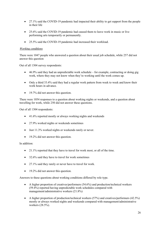- 27.1% said the COVID-19 pandemic had impacted their ability to get support from the people in their life
- 25.6% said the COVID-19 pandemic had caused them to leave work in music or live performing arts temporarily or permanently.
- 25.5% said the COVID-19 pandemic had increased their workload.

#### *Working conditions*

There were 1047 people who answered a question about their usual job schedule, while 257 did not answer this question

Out of all 1304 survey respondents:

- 46.9% said they had an unpredictable work schedule for example, contracting or doing gig work, where they may not know when they're working until the work comes up.
- Only a third 33.4% said they had a regular work pattern from week to week and know their work hours in advance.
- 19.7% did not answer this question.

There were 1054 responses to a question about working nights or weekends, and a question about travelling for work, while 250 did not answer these questions.

Out of all 1304 respondents:

- 41.6% reported mostly or always working nights and weekends
- 27.9% worked nights or weekends sometimes
- Just 11.3% worked nights or weekends rarely or never.
- 19.2% did not answer this question.

In addition:

- 21.1% reported that they have to travel for work most, or all of the time.
- 32.6% said they have to travel for work sometimes
- 27.1% said they rarely or never have to travel for work.
- 19.2% did not answer this question.

Answers to these questions about working conditions differed by role type.

- A higher proportion of creatives/performers (54.6%) and production/technical workers (59.4%) reported having unpredictable work schedules compared with management/administrative workers (21.8%)
- A higher proportion of production/technical workers (57%) and creatives/performers (42.5%) mostly or always worked nights and weekends compared with management/administrative workers (28.5%).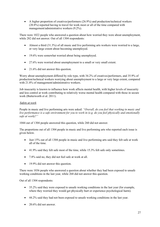• A higher proportion of creatives/performers (26.9%) and production/technical workers (20.8%) reported having to travel for work most or all of the time compared with management/administrative workers (9.2%).

There were 1022 people who answered a question about how worried they were about unemployment, while 282 did not answer. Out of all 1304 respondents:

- Almost a third (31.3%) of all music and live performing arts workers were worried to a large, or very large extent about becoming unemployed.
- 19.6% were somewhat worried about being unemployed.
- 27.6% were worried about unemployment to a small or very small extent.
- 21.6% did not answer this question.

Worry about unemployment differed by role type, with 34.2% of creatives/performers, and 35.9% of production/technical workers worrying about unemployment to a large or very large extent, compared with 21.8% of management/administrative workers.

Job insecurity is known to influence how work affects mental health, with higher levels of insecurity and less control at work contributing to relatively worse mental health compared with those in secure work (Butterworth et al. 2011).

#### *Safety at work*

People in music and live performing arts were asked: *"Overall, do you feel that working in music and live performance is a safe environment for you to work in (e.g. do you feel physically and emotionally safe at work)?"*

1044 out of 1304 people answered this question, while 260 did not answer.

The proportions out of all 1304 people in music and live performing arts who reported each issue is given below.

- Just 15% out of all 1304 people in music and live performing arts said they felt safe at work all of the time.
- 41.9% said they felt safe most of the time, while 15.3% felt safe only sometimes.
- 7.8% said no, they did not feel safe at work at all.
- 19.9% did not answer this question.

There were 1036 people who answered a question about whether they had been exposed to unsafe working conditions in the last year, while 268 did not answer this question.

Out of all 1304 respondents:

- 35.2% said they were exposed to unsafe working conditions in the last year (for example, where they worried they would get physically hurt or experience psychological harm).
- 44.2% said they had not been exposed to unsafe working conditions in the last year.
- $\bullet$  20.6% did not answer.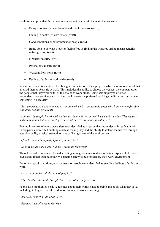Of those who provided further comments on safety at work, the main themes were:

- Being a contractor or self-employed enables control  $(n=10)$
- Feeling in control of own safety  $(n=10)$
- Good conditions or environment or people  $(n=6)$
- Being able to do what I love or feeling free or finding the work rewarding means benefits outweigh risks (n=5)
- Financial security  $(n=4)$
- Psychological harm (n=4)
- Working from home  $(n=4)$
- Feeling of safety at work varies (n=4)

Several respondents identified that being a contractor or self-employed enabled a sense of control that allowed them to feel safe at work. This included the ability to choose the venues, the companies, or the people that they work with, or the choice to work alone. Being self-employed afforded respondents a sense of agency that they could create the preferred working conditions or 'turn down something' if necessary.

*"As a contractor I work with who I want to work with - venues and people who I am not comfortable with don't remain my clients."*

*"I choose the people I work with and set up the conditions in which we work together. This means I make less money but have much greater control over my environment now."*

Feeling in control of one's own safety was identified as a reason that respondents felt safe at work. Participants commented on things such as feeling they had the ability to defend themselves through assertion skills, physical strength or size or 'being aware of the environment'.

*"I feel I can handle myself physically if need be."*

*"Nobody would dare mess with me. I stand up for myself."*

These kinds of comments reflected a feeling among some respondents of being responsible for one's own safety rather than necessarily expecting safety to be provided by their work environment.

For others, good conditions, environments or people were identified as enabling feelings of safety at work.

*"I work with an incredible team of people."*

*"There's other likeminded people there. I'm not the only weirdo."*

People also highlighted positive feelings about their work related to being able to do what they love, including feeling a sense of freedom or finding the work rewarding.

*"Am lucky enough to do what I love."*

*"Because it enables me to feel free."*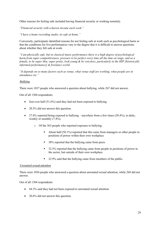Other reasons for feeling safe included having financial security or working remotely.

*"Financial security with a known income each week."*

*"I have a home recording studio, its safe at home."*

Conversely, participants identified reasons for not feeling safe at work such as psychological harm or that the conditions for live performances vary to the degree that it is difficult to answer questions about whether they felt safe at work.

*"I am physically safe, but in classical music performance there is a high degree of psychological harm from super competitiveness, pressure to be perfect every time all the time on stage, and as a female, to be super thin, super pretty, look young & be voiceless, particularly in the HIP [historically informed performance] & freelance world.* 

*"It depends on so many factors such as venue, what venue staff are working, what people are in attendance etc."*

#### *Bullying*

There were 1037 people who answered a question about bullying, while 267 did not answer.

Out of all 1304 respondents:

- Just over half  $(51.6\%)$  said they had not been exposed to bullying
- 20.5% did not answer this question.
- 27.8% reported being exposed to bullying anywhere from a few times (20.4%), to daily, weekly or monthly (7.4%).
	- o Of the 363 people who reported exposure to bullying:
		- About half (50.1%) reported that this came from managers or other people in positions of power within their own workplace
		- 38% reported that the bullying came from peers
		- 32.5% reported that the bullying came from people in positions of power in the sector, but outside of their own workplace
		- 22.9% said that the bullying came from members of the public.

#### *Unwanted sexual attention*

There were 1036 people who answered a question about unwanted sexual attention, while 268 did not answer.

Out of all 1304 respondents:

- 64.3% said they had not been exposed to unwanted sexual attention
- 20.6% did not answer this question.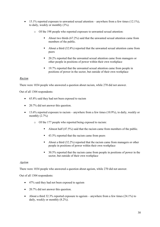- 15.1% reported exposure to unwanted sexual attention anywhere from a few times  $(12.1\%)$ , to daily, weekly or monthly (3%).
	- o Of the 198 people who reported exposure to unwanted sexual attention:
		- About two thirds (67.2%) said that the unwanted sexual attention came from members of the public.
		- About a third (32.8%) reported that the unwanted sexual attention came from peers
		- 20.2% reported that the unwanted sexual attention came from managers or other people in positions of power within their own workplace
		- 19.7% reported that the unwanted sexual attention came from people in positions of power in the sector, but outside of their own workplace

#### *Racism*

There were 1034 people who answered a question about racism, while 270 did not answer.

Out of all 1304 respondents:

- 65.8% said they had not been exposed to racism
- 20.7% did not answer this question.
- 13.6% reported exposure to racism anywhere from a few times  $(10.9\%)$ , to daily, weekly or monthly  $(2.7\%)$ 
	- o Of the 177 people who reported being exposed to racism:
		- Almost half (47.5%) said that the racism came from members of the public.
		- 43.5% reported that the racism came from peers
		- § About a third (32.2%) reported that the racism came from managers or other people in positions of power within their own workplace
		- 30.5% reported that the racism came from people in positions of power in the sector, but outside of their own workplace

#### *Ageism*

There were 1034 people who answered a question about ageism, while 270 did not answer.

Out of all 1304 respondents:

- 47% said they had not been exposed to ageism
- 20.7% did not answer this question.
- About a third 32.3% reported exposure to ageism anywhere from a few times  $(24.1\%)$  to daily, weekly or monthly (8.2%).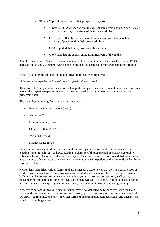- o Of the 421 people who reported being exposed to ageism:
	- Almost half (47%) reported that the ageism came from people in positions of power in the sector, but outside of their own workplace
	- 43% reported that the ageism came from managers or other people in positions of power within their own workplace
	- § 37.5% reported that the ageism came from peers
	- § 30.9% said that the ageism came from members of the public.

A higher proportion of creatives/performers reported exposure to unwanted sexual attention (17.8%) and ageism (34.5%), compared with people in production/technical or management/administrative roles.

Exposure to bullying and racism did not differ significantly by role type.

#### *Other negative experiences in music and live performing arts work*

There were 122 people in music and other live performing arts who chose to add their own comments about other negative experiences they had been exposed to through their work in music or live performing arts.

The main themes arising from these comments were:

- Interpersonal issues at work  $(n=60)$
- Abuse  $(n=57)$
- Discrimination  $(n=54)$
- COVID-19 related  $(n=38)$
- Workload  $(n=28)$
- Finance issues  $(n=26)$

Interpersonal issues at work included difficulties making connections in the music industry due to existing 'tight knit cliques', or issues relating to disrespectful, judgemental or passive aggressive behaviour from colleagues, producers or managers. False accusations, nepotism and dishonesty were also examples of negative experiences relating to interpersonal experiences that respondents had been exposed to at work.

Respondents identified various forms of abuse as negative experiences that they had experienced at work. These included verbal and physical abuse. Verbal abuse included abusive language, threats, bullying and harassment from management, clients, other artists and competitors, gaslighting, misgendering, and online trolling. Physical abuse included acts of violence from intoxicated or drugaffected punters, drink spiking, and sexual abuse, such as assault, harassment, and grooming.

Negative experiences involving discrimination were also identified by respondents, with the main forms of discrimination including sexism and misogyny, discriminatory acts towards members of the LGTBQI+ community, and ableism. Other forms of discrimination included racism and ageism – as noted in the findings above.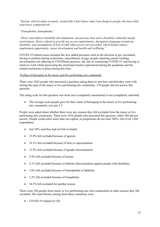*"Sexism, still not taken seriously, treated like I don't know what I am doing by people who have little experience comparatively."*

*"Transphobia, homophobia."*

*"Direct and indirect disability discrimination, unconscious bias and a disability culturally unsafe environment. Direct refusal to provide my access requirements, derogatory language around my disability, and assumptions of lack of skill when access isn't provided, which hinders future employment opportunity, career development and health and wellbeing."*

COVID-19 related issues included the new added pressures such as the decision to get vaccinated, having to perform during restrictions, cancellations of gigs, people reporting unsafe working environments not adhering to COVIDsafe practices, the risk of contracting COVID-19, and having to return to work whilst processing the emotional trauma experienced during the pandemic and the related restrictions in place during this time.

#### *Feeling of belonging in the music and live performing arts community*

There were 1026 people who answered a question asking them to rate how satisfied they were with feeling like part of the music or live performing arts community. 278 people did not answer this question.

The rating scale for this question was from zero (completely unsatisfied) to ten (completely satisfied).

The average score people gave for their sense of belonging in the music or live performing arts community was just 5.5

People were asked about whether there were any reasons they felt excluded from the music or live performing arts community. There were 1016 people who answered this question, while 288 did not answer. People could select more than one option, so proportions do not total 100%. Out of all 1304 respondents:

- Just 30% said they had not felt excluded.
- 23.8% felt excluded because of ageism
- 16.3% felt excluded because of lack or representation
- 13.9% felt excluded because of gender discrimination
- 5.4% felt excluded because of racism
- 5.1% felt excluded because of ableism (discrimination against people with disability)
- 3.8% felt excluded because of homophobia or biphobia
- 1.2% felt excluded because of transphobia
- 14.3% felt excluded for another reason

There were 104 people from music or live performing arts who commented on other reasons they felt excluded. The main themes arising from these comments were:

• COVID-19 related  $(n=26)$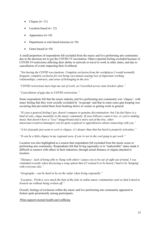- Cliques  $(n=21)$
- Location based  $(n=12)$
- Appearance  $(n=10)$
- Department or role-based tensions (n=10)
- Genre based  $(n=10)$

A small proportion of respondents felt excluded from the music and live performing arts community due to the decision not to get the COVID-19 vaccination. Others reported feeling excluded because of COVID-19 restrictions affecting their ability to network or travel to work in other states, and due to cancellation of events impacting their livelihood.

*"Not having the COVID vaccinations. Complete exclusion from the workplaces I would normally frequent, complete exclusion for not being vaccinated causing loss of important working relationships, contracts, and sense of belonging in the arts."*

*"COVID restrictions have kept me out of work, as I travelled across state borders often."*

*"Cancellation of gigs due to COVID restrictions."*

Some respondents felt that the music industry and live performing arts community was 'cliquey', with many feeling that they were socially excluded by 'in-groups' and that in some cases gate keeping was occurring that prevented them from booking shows in venues or getting work in general.

*"It's just a general feeling I get, doesn't compare to genuine discrimination- but I do feel there is a kind of vain, clique mentality in the music community. If your follower count is low, or you're making music that doesn't have a "sexy" image/brand and is more out-of-the-box, other musicians/creatives/managers can be quite sceptical or apprehensive about connecting with you."*

*"A lot of people just seem to cool or cliquey, it's deeper than that but hard to properly articulate."*

*"It can be a little cliquey in my regional area, if you're not in the cool gang to get work."*

Location was also highlighted as a reason that respondents felt excluded from the music scene or performing arts community. Respondents felt that living regionally or in "undesirable" states made it difficult to connect with others in their industries, through actual distance or stigma attached to location.

*"Distance - lack of being able to 'hang with others' causes you to be out of sight out of mind. I was reminded recently when discussing a song option that if I wanted it to be heard, I had to be 'hanging' with everyone else."*

*"Geography - can be hard to be on the radar when living regionally."*

*"Location - Perth is very much the butt of the joke in online music communities and we find it hard to branch out without being written off."*

Overall, feelings of exclusion within the music and live performing arts community appeared to feature quite prominently among participants.

*What supports mental health and wellbeing*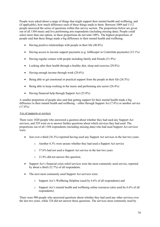People were asked about a range of things that might support their mental health and wellbeing, and (if applicable), how much difference each of these things made to them. Between 1009 and 1112 people answered the series of questions within this survey section. The proportions below are given out of all 1304 music and live performing arts respondents (including missing data). People could select more than one option, so these proportions do not total 100%. The highest proportions of people said that these things made a big difference to their mental health and wellbeing:

- Having positive relationships with people in their life  $(40.8\%)$
- Having access to income support payments (e.g. JobKeeper or Centrelink payments) (33.1%)
- Having regular contact with people including family and friends (31.9%)
- Looking after their health through a healthy diet, sleep and exercise (29.8%)
- Having enough income through work  $(29.6\%)$
- Being able to get emotional or practical support from the people in their life  $(26.5\%)$
- Being able to keep working in the music and performing arts sector (26.4%)
- Having financial help through Support Act (25.8%)

A smaller proportion of people also said that getting support for their mental health made a big difference to their mental health and wellbeing – either through Support Act (7.8%) or another service  $(17.8\%)$ 

#### *Use of supports or services*

There were 1020 people who answered a question about whether they had used any Support Act services, and 529 went on to answer further questions about which services they had used. The proportions out of all 1304 respondents (including missing data) who had used Support Act services were:

- Just over a third (36.3%) reported having used any Support Act services in the last two years.
	- o Another 4.3% were unsure whether they had used a Support Act service
	- o 37.6% had not used a Support Act service in the last two years
	- o 21.8% did not answer this question.
- Support Act's financial crisis relief services were the most commonly used service, reported by about a third (32.7%) of all respondents.
- The next most commonly used Support Act services were:
	- o Support Act's Wellbeing Helpline (used by 6.6% of all respondents) and
	- $\circ$  Support Act's mental health and wellbeing online resources (also used by 6.6% of all respondents)

There were 980 people who answered questions about whether they had used any other services over the last two years, while 324 did not answer these questions. The services most commonly used by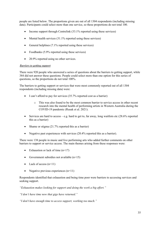people are listed below. The proportions given are out of all 1304 respondents (including missing data). Participants could select more than one service, so these proportions do not total 100.

- Income support through Centrelink (33.1% reported using these services)
- Mental health services (31.1% reported using these services)
- General helplines (7.1% reported using these services)
- Foodbanks (5.9% reported using these services)
- 20.9% reported using no other services.

#### *Barriers to getting support*

There were 920 people who answered a series of questions about the barriers to getting support, while 384 did not answer these questions. People could select more than one option for this series of questions, so the proportions do not total 100%.

The barriers to getting support or services that were most commonly reported out of all 1304 respondents (including missing data) were:

- I can't afford to pay for services (35.7% reported cost as a barrier)
	- o This was also found to be the most common barrier to service access in other recent research into the mental health of performing artists in Western Australia during the COVID-19 pandemic (Rusak et al. 2021).
- Services are hard to access e.g. hard to get to, far away, long waitlists etc  $(28.6\%$  reported this as a barrier)
- Shame or stigma (21.7% reported this as a barrier)
- Negative past experiences with services (20.4% reported this as a barrier).

There were 138 people in music and live performing arts who added further comments on other barriers to support or service access. The main themes arising from these responses were:

- Exhaustion or lack of time  $(n=17)$
- Government subsidies not available  $(n=15)$
- Lack of access  $(n=11)$
- Negative previous experiences  $(n=11)$

Respondents identified that exhaustion and being time poor were barriers to accessing services and seeking support.

*"Exhaustion makes looking for support and doing the work a big effort."*

*"I don't have time now that gigs have returned."*

*"I don't have enough time to access support, working too much."*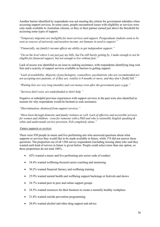Another barrier identified by respondents was not meeting the criteria for government subsidies when accessing support services. In some cases, people encountered issues with eligibility as services were only made available to Australian citizens, or they or their partner earned just above the threshold for accessing some types of support.

*"Temporary migrants are ineligible for most services and support. Postgraduate students seem to be seen as sources of university and taxation income, not humans in need to support."*

*"Financially, my family's income affects my ability to get independent support."*

*"I'm on the level where I can just pay my bills, but I'm still barely getting by. I make enough to not be eligible for financial support, but not enough to live without fear."*

Lack of access was identified as an issue to seeking assistance, with respondents identifying long wait lists and a scarcity of support services available as barriers to getting support.

*"Lack of availability. Majority of psychologists, counsellors, psychiatrists who are recommended are not accepting new patients, or if they are, waitlist is 9 months or more, and they don't [bulk] bill."*

*"Waiting lists are very long (months) and cost money even after the government pays a gap."*

*"Services don't exist, are underfunded or don't help."*

Negative or unhelpful previous experiences with support services in the past were also identified as reasons for why respondents would be hesitant to seek assistance.

*"Discrimination, dismissal from support services."*

*"Have been through domestic and family violence as well. Lack of effective and accessible services for women and children - even for someone with a PhD and who is ostensibly English speaking & white and understands service provision. Felt completely alone."*

#### *Future supports or services*

There were 930 people in music and live performing arts who answered questions about what supports or services they would like to be made available in future, while 374 did not answer these questions. The proportion out of all 1304 survey respondents (including missing data) who said they wanted each kind of service in future is given below. People could select more than one option, so these proportions do not total 100%.

- 42% wanted a music and live performing arts sector code of conduct
- 34.4% wanted wellbeing-focused career coaching and mentoring
- 30.2% wanted financial literacy and wellbeing training
- 25.9% wanted mental health and wellbeing support backstage at festivals and shows
- 24.7% wanted peer to peer and online support groups
- 24.5% wanted resources for their business to create a mentally healthy workplace
- 21.8% wanted suicide prevention programming
- 20.4% wanted alcohol and other drug support and advice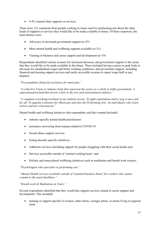• 9.4% wanted other supports or services.

There were 121 comments from people working in music and live performing arts about the other kinds of supports or services they would like to be made available in future. Of these responses, the main themes were:

- Advocacy or increased government support  $(n=47)$
- More mental health and wellbeing supports available  $(n=21)$
- Training or business and career support and development  $(n=19)$

Respondents identified various avenues for increased advocacy and government support in the sector that they would like to be made available in the future. These included having a union or peak body to advocate for standardised wages and better working conditions; and government support, including financial and housing support services and easily accessible avenues to report wage theft or pay disputes.

*"Post pandemic financial assistance for musicians."*

*"A collective Union or industry body that represent the sector as a whole to lobby government. A superannuation fund that invests solely in the arts and entertainment industry."*

*"A complete reworking/overhaul of our industry/sector. To fight exploitation and to stop it once and for all. To appoint a minister for Musicians and also the Performing Arts. An individual/s who is/are artist/s and not a bureaucrat."*

Mental health and wellbeing initiatives that respondents said they wanted included:

- industry-specific mental health practitioners
- assistance recovering from trauma related to COVID-19
- Sexual abuse support services
- Eating disorder specific initiatives
- Addiction services (including support for people struggling with their social media use)
- Services accessible outside of 'normal working hours' and
- Holistic and transcultural wellbeing initiatives such as meditation and breath work courses.

*"Psychologists who specialise in performing arts."*

*"Mental Health services available outside of 'standard business hours' for workers who cannot commit to the usual deadlines."*

*"Breath work & Meditation on Tours."*

Several respondents identified that they would like support services related to career support and development. This included:

• training or support specific to women, older artists, younger artists, or artists living in regional areas.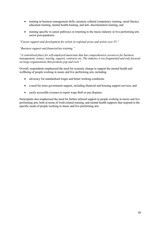- training in business management skills, taxation, cultural competency training, racial literacy education training, mental health training, and anti- discrimination training, and
- training specific to career pathways or returning to the music industry or live performing arts sector post-pandemic.

*"Career support and development for artists in regional areas and artists over 35."*

*"Business support and financial/tax training."*

*"A centralised place for self-employed musicians that has comprehensive resources for business, management, venues, touring, support, contracts etc. The industry is too fragmented and only focused on large organisations that promote pop and rock."*

Overall, respondents emphasised the need for systemic change to support the mental health and wellbeing of people working in music and live performing arts, including:

- advocacy for standardised wages and better working conditions
- a need for more government support, including financial and housing support services, and
- easily accessible avenues to report wage theft or pay disputes.

Participants also emphasised the need for further tailored support to people working in music and live performing arts, both in terms of work-related training, and mental health supports that respond to the specific needs of people working in music and live performing arts.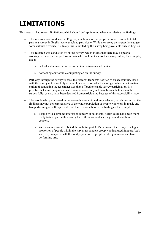# **LIMITATIONS**

This research had several limitations, which should be kept in mind when considering the findings.

- This research was conducted in English, which means that people who were not able to take part in a survey in English were unable to participate. While the survey demographics suggest some cultural diversity, it's likely this is limited by the survey being available only in English.
- This research was conducted by online survey, which means that there may be people working in music or live performing arts who could not access the survey online, for example, due to:
	- o lack of stable internet access or an internet-connected device
	- o not feeling comfortable completing an online survey.
- Part-way through the survey release, the research team was notified of an accessibility issue with the survey not being fully accessible via screen-reader technology. While an alternative option of contacting the researcher was then offered to enable survey participation, it's possible that some people who use a screen-reader may not have been able to access the survey fully, or may have been deterred from participating because of this accessibility issue.
- The people who participated in the research were not randomly selected, which means that the findings may not be representative of the whole population of people who work in music and live performing arts. It is possible that there is some bias in the findings – for example:
	- o People with a stronger interest or concern about mental health could have been more likely to take part in this survey than others without a strong mental health interest or concern.
	- o As the survey was distributed through Support Act's networks, there may be a higher proportion of people within the survey respondent group who had used Support Act's services, compared with the total population of people working in music and live performing arts.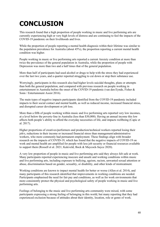# **CONCLUSION**

This research found that a high proportion of people working in music and live performing arts are currently experiencing high or very high levels of distress and are continuing to feel the impacts of the COVID-19 pandemic on their livelihoods and lives.

While the proportion of people reporting a mental health diagnosis within their lifetime was similar to the population prevalence for Australia (about 45%), the proportion reporting a current mental health condition was higher.

People working in music or live performing arts reported a current Anxiety condition at more than twice the prevalence of the general population in Australia, while the proportion of people with Depression was more than two and a half times that of the general population.

More than half of participants had used alcohol or drugs to help with the stress they had experienced over the last two years, and a quarter reported struggling to cut down or stop their substance use.

Worryingly, participants in this research also had higher levels suicidal thoughts, plans or attempts than both the general population, and compared with previous research on people working in entertainment in Australia before the onset of the COVID-19 pandemic (van den Eynde, Fisher & Sonn / Entertainment Assist 2016).

The main types of negative impacts participants identified from the COVID-19 pandemic included impacts to their social contact and mental health, as well as reduced income, increased financial stress, and disrupted career development or job loss.

More than a fifth of people working within music and live performing arts reported very low incomes, at a level below the poverty-line in Australia (less than \$30,000). Having an annual income this low affects both people's ability to afford the everyday necessities of life, and impacts wellbeing (Capic et al. 2017).

Higher proportions of creatives/performers and production/technical workers reported losing their job/s, reductions in their income or increased financial stress than management/administrative workers, who more commonly had permanent employment. These findings align with broader research on the impacts of COVID-19, which has found that the negative impacts of COVID-19 on work and mental health are amplified for people with less job security or financial resources available to support them (Rossell et al. 2021; Kaleveld, Bock & Maycock-Sayce 2020).

A very low proportion of people in music and live performing arts said they always felt safe at work. Many participants reported experiencing insecure and unsafe and working conditions within music and live performing arts, including exposure to bullying, ageism, racism, unwanted sexual attention or abuse, discrimination based on gender, sexuality, or disability, and other kinds of mistreatment.

Working conditions are known to impact mental health for better or worse (Allen et al. 2014), and many participants of this research identified that improvements in working conditions are needed. Participants emphasised the need for fair pay and conditions, as well as for work environments that more consistently protect the physical and psychological safety of people working in music and live performing arts.

Feelings of belonging to the music and live performing arts community were mixed, with some participants expressing a strong feeling of belonging in this world, but many reporting that they had experienced exclusion because of attitudes about their identity, location, role or genre of work.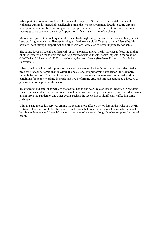When participants were asked what had made the biggest difference to their mental health and wellbeing during this incredibly challenging time, the two most common threads to come through were positive relationships and support from people in their lives, and access to income (through income support payments, work, or Support Act's financial crisis relief services).

Many also reported that looking after their health (through sleep, diet and exercise), and being able to keep working in music and live performing arts had made a big difference to them. Mental health services (both through Support Act and other services) were also of noted importance for some.

The strong focus on social and financial support alongside mental health services reflects the findings of other research on the factors that can help reduce negative mental health impacts in the wake of COVID-19 (Atkinson et al. 2020), or following the loss of work (Brydsten, Hammarström, & San Sebastian, 2018).

When asked what kinds of supports or services they wanted for the future, participants identified a need for broader systemic change within the music and live performing arts sector - for example, through the creation of a code of conduct that can catalyse real change towards improved working conditions for people working in music and live performing arts, and through continued advocacy to government for support of the sector.

This research indicates that many of the mental health and work-related issues identified in previous research in Australia continue to impact people in music and live performing arts, with added stressors arising from the pandemic, and other events such as the recent floods significantly affecting some participants.

With arts and recreation services among the sectors most affected by job loss in the wake of COVID-19 (Australian Bureau of Statistics 2020a), and associated impacts to financial insecurity and mental health, employment and financial supports continue to be needed alongside other supports for mental health.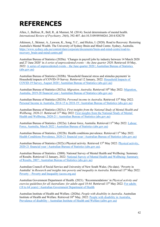### **REFERENCES**

Allen, J., Balfour, R., Bell, R., & Marmot, M. (2014). Social determinants of mental health. *International Review of Psychiatry, 26*(4), 392-407. doi:10.3109/09540261.2014.928270

Atkinson, J., Skinner, A., Lawson, K., Song, Y.C., and Hickie, I. (2020). Road to Recovery: Restoring Australia's Mental Wealth. The University of Sydney Brain and Mind Centre. Sydney, Australia. https://www.sydney.edu.au/content/dam/corporate/documents/brain-and-mind-centre/road-torecovery\_brain-and-mind-centre.pdf

Australian Bureau of Statistics (2020a). 'Changes in payroll jobs by industry between 14 March 2020 and 27 June 2020' in *A series of unprecedented events – the June quarter 2020*. Retrieved 10 May, 2022: A series of unprecedented events – the June quarter 2020 | Australian Bureau of Statistics (abs.gov.au)

Australian Bureau of Statistics (2020b). 'Household financial stress and stimulus payments' in Household impacts of COVID-19 Survey. Retrieved 12 January, 2022: Household Impacts of COVID-19 Survey, August 2020 | Australian Bureau of Statistics (abs.gov.au)

Australian Bureau of Statistics (2021a). *Migration, Australia*. Retrieved 10<sup>th</sup> May 2022: Migration, Australia, 2019-20 financial year | Australian Bureau of Statistics (abs.gov.au).

Australian Bureau of Statistics (2021b). *Personal income in Australia*. Retrieved 13<sup>th</sup> May 2022: Personal Income in Australia, 2014-15 to 2018-19 | Australian Bureau of Statistics (abs.gov.au)

Australian Bureau of Statistics (2021c). *First insights from the National Study of Mental Health and Wellbeing, 2020-21.* Retrieved 11<sup>th</sup> May 2022: First insights from the National Study of Mental Health and Wellbeing, 2020-21 | Australian Bureau of Statistics (abs.gov.au)

Australian Bureau of Statistics. (2022a). Labour force, Australia. Retrieved 11<sup>th</sup> May 2022: Labour Force, Australia, March 2022 | Australian Bureau of Statistics (abs.gov.au)

Australian Bureau of Statistics, (2022b). Health conditions prevalence. Retrieved 11<sup>th</sup> May 2022. Health Conditions Prevalence, 2020-21 financial year | Australian Bureau of Statistics (abs.gov.au)

Australian Bureau of Statistics (2022c) Physical activity. Retrieved 13<sup>th</sup> May 2022: Physical activity, 2020-21 financial year | Australian Bureau of Statistics (abs.gov.au).

Australian Bureau of Statistics. (2008). National Survey of Mental Health and Wellbeing: Summary of Results. Retrieved 12 January, 2022: National Survey of Mental Health and Wellbeing: Summary of Results, 2007 | Australian Bureau of Statistics (abs.gov.au)

Australian Council of Social Service and University of New South Wales. (No date). 'Poverty in Australia' in *Research and insights into poverty and inequality in Australia*. Retrieved 13<sup>th</sup> May 2022: Poverty – Poverty and Inequality (acoss.org.au)

Australian Government Department of Health. (2021). 'Recommendations' in *Physical activity and*  exercise guidelines for all Australians: for adults aged 18-64. Retrieved 13<sup>th</sup> May 2022: For adults (18 to 64 years) | Australian Government Department of Health

Australian Institute of Health and Welfare. (2020a). *People with disability in Australia*. Australian Institute of Health and Welfare. Retrieved  $10^{th}$  May, 2022: People with disability in Australia, Prevalence of disability - Australian Institute of Health and Welfare (aihw.gov.au)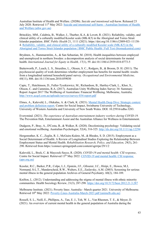Australian Institute of Health and Welfare. (2020b). *Suicide and intentional self-harm*. Released 23 July 2020. Retrieved 11<sup>th</sup> May 2022: Suicide and intentional self-harm - Australian Institute of Health and Welfare (aihw.gov.au)

Brinckley, MM., Calabria, B., Walker, J., Thurber, K.A. & Lovett, R. (2021). Reliability, validity, and clinical utility of a culturally modified Kessler scale (MK-K5) in the Aboriginal and Torres Strait Islander population. *BMC Public Health* 21, 1111 (2021). https://doi.org/10.1186/s12889-021-11138- 4. Reliability, validity, and clinical utility of a culturally modified Kessler scale (MK-K5) in the Aboriginal and Torres Strait Islander population | BMC Public Health | Full Text (biomedcentral.com)

Brydsten, A., Hammarström, A., & San Sebastian, M. (2018). Health inequalities between employed and unemployed in northern Sweden: a decomposition analysis of social determinants for mental health. *International Journal for Equity in Health, 17*(1), 59. doi:10.1186/s12939-018-0773-5

Butterworth, P., Leach, L. S., Strazdins, L., Olesen, S. C., Rodgers, B., & Broom, D. H. (2011). The psychosocial quality of work determines whether employment has benefits for mental health: results from a longitudinal national household panel survey. *Occupational and Environmental Medicine, 68*(11), 806. doi:10.1136/oem.2010.059030

Capic, T., Hutchinson, D., Fuller-Tyszkiewicz, M., Richardson, B., Hartley-Clark, L., Khor, S., Olsson, C. and Cummins, R.A. (2017). Australian Unity Wellbeing Index Survey 34: Summary Report August 2017 The Wellbeing of Australians: Financial Wellbeing. Melbourne, Australia. http://www.acqol.com.au/uploads/surveys/survey-034-report.pdf

Elmes, A., Kaleveld, L., Olekalns, A. & Clark, K. (2021). Mental Health Deep Dive: Strategic context and problem definition report. Centre for Social Impact, Swinburne University of Technology, University of Western Australia and University of New South Wales. DOI: 10.25916/edba-3283.

Everymind. (2021). *The experience of Australian entertainment industry workers during COVID-19.*  The Prevention Hub, Entertainment Assist and the Australian Alliance for Wellness in Entertainment.

Dudgeon, P., Bray, A., D'Costa, B., & Walker, R. (2020). Decolonising psychology: Validating social and emotional wellbeing. Australian Psychologist, 52(4), 316-325. http://dx.doi.org/10.1111/ap.12294

Hergenrather, K. C., Zeglin, R. J., McGuire-Kuletz, M., & Rhodes, S. D. (2015). Employment as a Social Determinant of Health: A Review of Longitudinal Studies Exploring the Relationship Between Employment Status and Mental Health. *Rehabilitation Research, Policy, and Education, 29*(3), 261- 290. Retrieved from https://connect.springerpub.com/content/sgrrrpe/29/1/2

Kaleveld, L., Bock, C. & Maycock-Sayce, R. (2020). *COVID-19 and mental health: CSI response*, Centre for Social Impact. Retrieved 13<sup>th</sup> May 2022: COVID-19 and mental health: CSI response (apo.org.au)

Kessler, R.C., Barker, P.R., Colpe, L.J., Epstein, J.F., Gfroerer, J.C., Hiripi, E., Howes, M.J, Normand, S-L.T., Manderscheid, R.W., Walters, E.E., Zaslavsky, A.M. (2003). Screening for serious mental illness in the general population Archives of General Psychiatry. 60(2), 184-189.

Knifton, L. (2012). Understanding and addressing the stigma of mental illness with ethnic minority communities. Health Sociology Review, 21(3), 287-298. https://doi.org/10.5172/hesr.2012.21.3.287

Melbourne Institute. (2021). Poverty lines: Australia - March quarter 2021. University of Melbourne. Retrieved 10<sup>th</sup> May 2022: Poverty-Lines-Australia-March-2021.pdf (unimelb.edu.au)

Rossell, S. L., Neill, E., Phillipou, A., Tan, E. J., Toh, W. L., Van Rheenen, T. E., & Meyer, D. (2021). An overview of current mental health in the general population of Australia during the